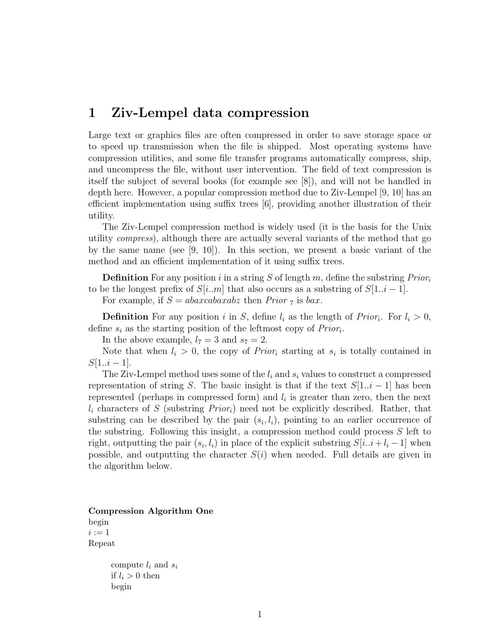# 1 Ziv-Lempel data compression

Large text or graphics files are often compressed in order to save storage space or to speed up transmission when the file is shipped. Most operating systems have compression utilities, and some file transfer programs automatically compress, ship, and uncompress the file, without user intervention. The field of text compression is itself the subject of several books (for example see [8]), and will not be handled in depth here. However, a popular compression method due to Ziv-Lempel [9, 10] has an efficient implementation using suffix trees [6], providing another illustration of their utility.

The Ziv-Lempel compression method is widely used (it is the basis for the Unix utility compress), although there are actually several variants of the method that go by the same name (see  $[9, 10]$ ). In this section, we present a basic variant of the method and an efficient implementation of it using suffix trees.

**Definition** For any position i in a string S of length m, define the substring  $Prior_i$ to be the longest prefix of  $S[i..m]$  that also occurs as a substring of  $S[1..i-1]$ .

For example, if  $S = abaxcabaxabz$  then Prior  $\tau$  is bax.

**Definition** For any position i in S, define  $l_i$  as the length of Prior<sub>i</sub>. For  $l_i > 0$ , define  $s_i$  as the starting position of the leftmost copy of  $Prior_i$ .

In the above example,  $l_7 = 3$  and  $s_7 = 2$ .

Note that when  $l_i > 0$ , the copy of *Prior<sub>i</sub>* starting at  $s_i$  is totally contained in  $S[1..i-1].$ 

The Ziv-Lempel method uses some of the  $l_i$  and  $s_i$  values to construct a compressed representation of string S. The basic insight is that if the text  $S[1..i - 1]$  has been represented (perhaps in compressed form) and  $l_i$  is greater than zero, then the next  $l_i$  characters of S (substring  $Prior_i$ ) need not be explicitly described. Rather, that substring can be described by the pair  $(s_i, l_i)$ , pointing to an earlier occurrence of the substring. Following this insight, a compression method could process S left to right, outputting the pair  $(s_i, l_i)$  in place of the explicit substring  $S[i..i + l_i - 1]$  when possible, and outputting the character  $S(i)$  when needed. Full details are given in the algorithm below.

Compression Algorithm One begin  $i := 1$ Repeat

> compute  $l_i$  and  $s_i$ if  $l_i > 0$  then begin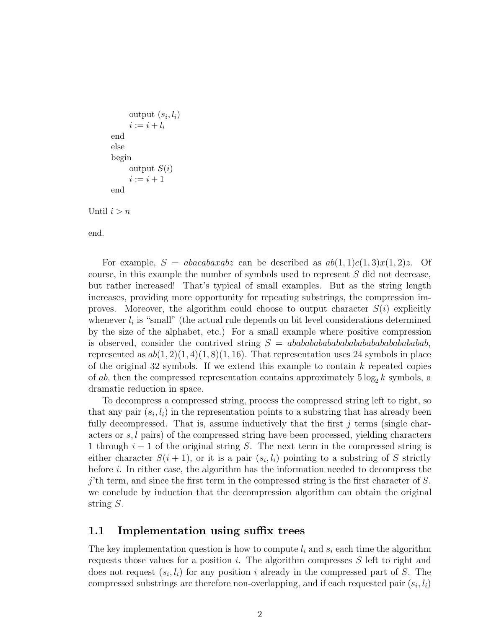```
output (s_i, l_i)i := i + l_iend
else
begin
     output S(i)i := i + 1end
```
Until  $i>n$ 

end.

For example,  $S = abacabaxabz$  can be described as  $ab(1, 1)c(1, 3)x(1, 2)z$ . Of course, in this example the number of symbols used to represent S did not decrease, but rather increased! That's typical of small examples. But as the string length increases, providing more opportunity for repeating substrings, the compression improves. Moreover, the algorithm could choose to output character  $S(i)$  explicitly whenever  $l_i$  is "small" (the actual rule depends on bit level considerations determined by the size of the alphabet, etc.) For a small example where positive compression is observed, consider the contrived string S = abababababababababababababababab, represented as  $ab(1, 2)(1, 4)(1, 8)(1, 16)$ . That representation uses 24 symbols in place of the original 32 symbols. If we extend this example to contain  $k$  repeated copies of ab, then the compressed representation contains approximately  $5 \log_2 k$  symbols, a dramatic reduction in space.

To decompress a compressed string, process the compressed string left to right, so that any pair  $(s_i, l_i)$  in the representation points to a substring that has already been fully decompressed. That is, assume inductively that the first  $j$  terms (single characters or  $s, l$  pairs) of the compressed string have been processed, yielding characters 1 through  $i - 1$  of the original string S. The next term in the compressed string is either character  $S(i + 1)$ , or it is a pair  $(s_i, l_i)$  pointing to a substring of S strictly before i. In either case, the algorithm has the information needed to decompress the  $j'$ th term, and since the first term in the compressed string is the first character of  $S$ , we conclude by induction that the decompression algorithm can obtain the original string S.

### 1.1 Implementation using suffix trees

The key implementation question is how to compute  $l_i$  and  $s_i$  each time the algorithm requests those values for a position i. The algorithm compresses  $S$  left to right and does not request  $(s_i, l_i)$  for any position i already in the compressed part of S. The compressed substrings are therefore non-overlapping, and if each requested pair  $(s_i, l_i)$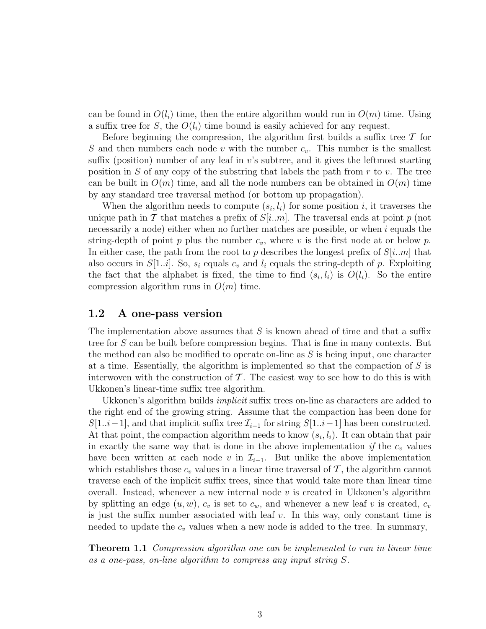can be found in  $O(l_i)$  time, then the entire algorithm would run in  $O(m)$  time. Using a suffix tree for S, the  $O(l_i)$  time bound is easily achieved for any request.

Before beginning the compression, the algorithm first builds a suffix tree  $\mathcal T$  for S and then numbers each node v with the number  $c_v$ . This number is the smallest suffix (position) number of any leaf in  $v$ 's subtree, and it gives the leftmost starting position in S of any copy of the substring that labels the path from  $r$  to  $v$ . The tree can be built in  $O(m)$  time, and all the node numbers can be obtained in  $O(m)$  time by any standard tree traversal method (or bottom up propagation).

When the algorithm needs to compute  $(s_i, l_i)$  for some position i, it traverses the unique path in T that matches a prefix of  $S[i..m]$ . The traversal ends at point p (not necessarily a node) either when no further matches are possible, or when  $i$  equals the string-depth of point p plus the number  $c_v$ , where v is the first node at or below p. In either case, the path from the root to p describes the longest prefix of  $S[i..m]$  that also occurs in  $S[1..i]$ . So,  $s_i$  equals  $c_v$  and  $l_i$  equals the string-depth of p. Exploiting the fact that the alphabet is fixed, the time to find  $(s_i, l_i)$  is  $O(l_i)$ . So the entire compression algorithm runs in  $O(m)$  time.

#### 1.2 A one-pass version

The implementation above assumes that  $S$  is known ahead of time and that a suffix tree for S can be built before compression begins. That is fine in many contexts. But the method can also be modified to operate on-line as  $S$  is being input, one character at a time. Essentially, the algorithm is implemented so that the compaction of  $S$  is interwoven with the construction of  $\mathcal T$ . The easiest way to see how to do this is with Ukkonen's linear-time suffix tree algorithm.

Ukkonen's algorithm builds *implicit* suffix trees on-line as characters are added to the right end of the growing string. Assume that the compaction has been done for  $S[1..i-1]$ , and that implicit suffix tree  $\mathcal{I}_{i-1}$  for string  $S[1..i-1]$  has been constructed. At that point, the compaction algorithm needs to know  $(s_i, l_i)$ . It can obtain that pair in exactly the same way that is done in the above implementation if the  $c_v$  values have been written at each node v in  $\mathcal{I}_{i-1}$ . But unlike the above implementation which establishes those  $c_v$  values in a linear time traversal of  $\mathcal T$ , the algorithm cannot traverse each of the implicit suffix trees, since that would take more than linear time overall. Instead, whenever a new internal node  $v$  is created in Ukkonen's algorithm by splitting an edge  $(u, w)$ ,  $c_v$  is set to  $c_w$ , and whenever a new leaf v is created,  $c_v$ is just the suffix number associated with leaf  $v$ . In this way, only constant time is needed to update the  $c_v$  values when a new node is added to the tree. In summary,

**Theorem 1.1** Compression algorithm one can be implemented to run in linear time as a one-pass, on-line algorithm to compress any input string S.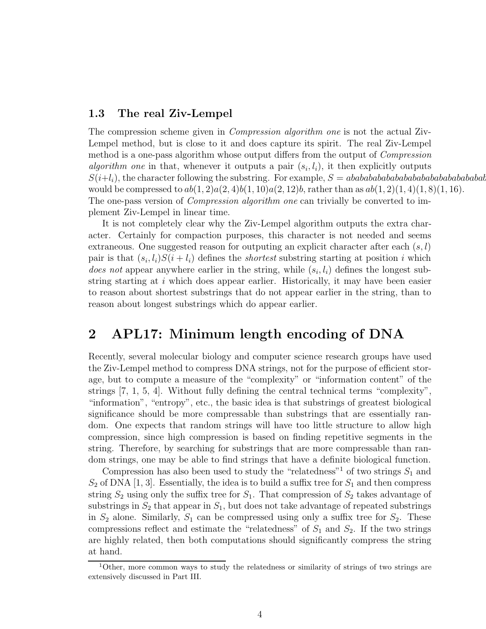#### 1.3 The real Ziv-Lempel

The compression scheme given in *Compression algorithm one* is not the actual Ziv-Lempel method, but is close to it and does capture its spirit. The real Ziv-Lempel method is a one-pass algorithm whose output differs from the output of Compression *algorithm one* in that, whenever it outputs a pair  $(s_i, l_i)$ , it then explicitly outputs S(i+li), the character following the substring. For example, S = abababababababababababababababab would be compressed to  $ab(1, 2)a(2, 4)b(1, 10)a(2, 12)b$ , rather than as  $ab(1, 2)(1, 4)(1, 8)(1, 16)$ . The one-pass version of *Compression algorithm one* can trivially be converted to implement Ziv-Lempel in linear time.

It is not completely clear why the Ziv-Lempel algorithm outputs the extra character. Certainly for compaction purposes, this character is not needed and seems extraneous. One suggested reason for outputing an explicit character after each  $(s, l)$ pair is that  $(s_i, l_i)S(i + l_i)$  defines the *shortest* substring starting at position i which *does not* appear anywhere earlier in the string, while  $(s_i, l_i)$  defines the longest substring starting at  $i$  which does appear earlier. Historically, it may have been easier to reason about shortest substrings that do not appear earlier in the string, than to reason about longest substrings which do appear earlier.

# 2 APL17: Minimum length encoding of DNA

Recently, several molecular biology and computer science research groups have used the Ziv-Lempel method to compress DNA strings, not for the purpose of efficient storage, but to compute a measure of the "complexity" or "information content" of the strings [7, 1, 5, 4]. Without fully defining the central technical terms "complexity", "information", "entropy", etc., the basic idea is that substrings of greatest biological significance should be more compressable than substrings that are essentially random. One expects that random strings will have too little structure to allow high compression, since high compression is based on finding repetitive segments in the string. Therefore, by searching for substrings that are more compressable than random strings, one may be able to find strings that have a definite biological function.

Compression has also been used to study the "relatedness"<sup>1</sup> of two strings  $S_1$  and  $S_2$  of DNA [1, 3]. Essentially, the idea is to build a suffix tree for  $S_1$  and then compress string  $S_2$  using only the suffix tree for  $S_1$ . That compression of  $S_2$  takes advantage of substrings in  $S_2$  that appear in  $S_1$ , but does not take advantage of repeated substrings in  $S_2$  alone. Similarly,  $S_1$  can be compressed using only a suffix tree for  $S_2$ . These compressions reflect and estimate the "relatedness" of  $S_1$  and  $S_2$ . If the two strings are highly related, then both computations should significantly compress the string at hand.

<sup>1</sup>Other, more common ways to study the relatedness or similarity of strings of two strings are extensively discussed in Part III.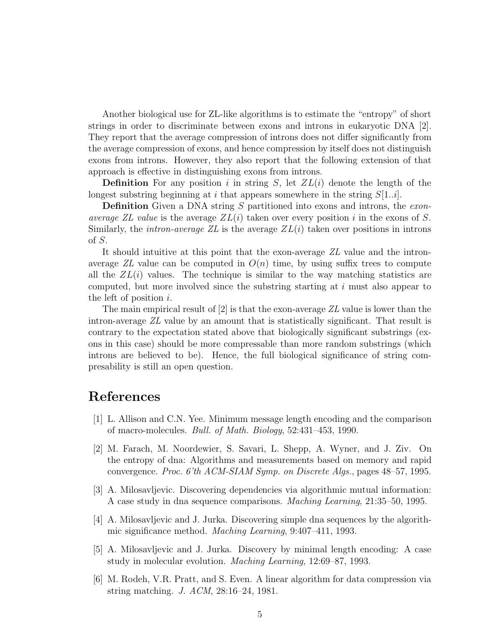Another biological use for ZL-like algorithms is to estimate the "entropy" of short strings in order to discriminate between exons and introns in eukaryotic DNA [2]. They report that the average compression of introns does not differ significantly from the average compression of exons, and hence compression by itself does not distinguish exons from introns. However, they also report that the following extension of that approach is effective in distinguishing exons from introns.

**Definition** For any position i in string S, let  $ZL(i)$  denote the length of the longest substring beginning at i that appears somewhere in the string  $S[1..i]$ .

**Definition** Given a DNA string S partitioned into exons and introns, the exonaverage ZL value is the average  $ZL(i)$  taken over every position i in the exons of S. Similarly, the *intron-average ZL* is the average  $ZL(i)$  taken over positions in introns of S.

It should intuitive at this point that the exon-average ZL value and the intronaverage ZL value can be computed in  $O(n)$  time, by using suffix trees to compute all the  $ZL(i)$  values. The technique is similar to the way matching statistics are computed, but more involved since the substring starting at  $i$  must also appear to the left of position  $i$ .

The main empirical result of  $[2]$  is that the exon-average  $ZL$  value is lower than the intron-average ZL value by an amount that is statistically significant. That result is contrary to the expectation stated above that biologically significant substrings (exons in this case) should be more compressable than more random substrings (which introns are believed to be). Hence, the full biological significance of string compresability is still an open question.

## References

- [1] L. Allison and C.N. Yee. Minimum message length encoding and the comparison of macro-molecules. Bull. of Math. Biology, 52:431–453, 1990.
- [2] M. Farach, M. Noordewier, S. Savari, L. Shepp, A. Wyner, and J. Ziv. On the entropy of dna: Algorithms and measurements based on memory and rapid convergence. Proc. 6'th ACM-SIAM Symp. on Discrete Algs., pages 48–57, 1995.
- [3] A. Milosavljevic. Discovering dependencies via algorithmic mutual information: A case study in dna sequence comparisons. Maching Learning, 21:35–50, 1995.
- [4] A. Milosavljevic and J. Jurka. Discovering simple dna sequences by the algorithmic significance method. Maching Learning, 9:407–411, 1993.
- [5] A. Milosavljevic and J. Jurka. Discovery by minimal length encoding: A case study in molecular evolution. Maching Learning, 12:69–87, 1993.
- [6] M. Rodeh, V.R. Pratt, and S. Even. A linear algorithm for data compression via string matching. J. ACM, 28:16–24, 1981.